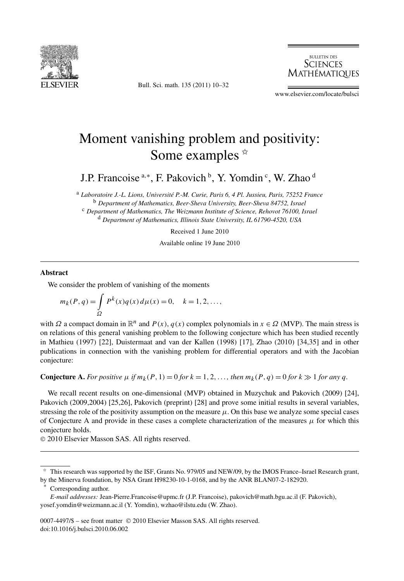

Bull. Sci. math. 135 (2011) 10–32

**BULLETIN DES SCIENCES** Mathématiques

www.elsevier.com/locate/bulsci

# Moment vanishing problem and positivity: Some examples  $*$

J.P. Francoise<sup>a,\*</sup>, F. Pakovich <sup>b</sup>, Y. Yomdin <sup>c</sup>, W. Zhao <sup>d</sup>

<sup>a</sup> *Laboratoire J.-L. Lions, Université P.-M. Curie, Paris 6, 4 Pl. Jussieu, Paris, 75252 France* <sup>b</sup> *Department of Mathematics, Beer-Sheva University, Beer-Sheva 84752, Israel* <sup>c</sup> *Department of Mathematics, The Weizmann Institute of Science, Rehovot 76100, Israel* <sup>d</sup> *Department of Mathematics, Illinois State University, IL 61790-4520, USA*

Received 1 June 2010

Available online 19 June 2010

#### **Abstract**

We consider the problem of vanishing of the moments

$$
m_k(P, q) = \int_{\Omega} P^k(x) q(x) d\mu(x) = 0, \quad k = 1, 2, ...,
$$

with  $\Omega$  a compact domain in  $\mathbb{R}^n$  and  $P(x)$ ,  $q(x)$  complex polynomials in  $x \in \Omega$  (MVP). The main stress is on relations of this general vanishing problem to the following conjecture which has been studied recently in Mathieu (1997) [22], Duistermaat and van der Kallen (1998) [17], Zhao (2010) [34,35] and in other publications in connection with the vanishing problem for differential operators and with the Jacobian conjecture:

**Conjecture A.** For positive  $\mu$  if  $m_k(P, 1) = 0$  for  $k = 1, 2, \ldots$ , then  $m_k(P, q) = 0$  for  $k \gg 1$  for any q.

We recall recent results on one-dimensional (MVP) obtained in Muzychuk and Pakovich (2009) [24], Pakovich (2009,2004) [25,26], Pakovich (preprint) [28] and prove some initial results in several variables, stressing the role of the positivity assumption on the measure  $\mu$ . On this base we analyze some special cases of Conjecture A and provide in these cases a complete characterization of the measures  $\mu$  for which this conjecture holds.

© 2010 Elsevier Masson SAS. All rights reserved.

Corresponding author.

0007-4497/\$ – see front matter © 2010 Elsevier Masson SAS. All rights reserved. doi:10.1016/j.bulsci.2010.06.002

<sup>✩</sup> This research was supported by the ISF, Grants No. 979/05 and NEW/09, by the IMOS France–Israel Research grant,

by the Minerva foundation, by NSA Grant H98230-10-1-0168, and by the ANR BLAN07-2-182920.

*E-mail addresses:* Jean-Pierre.Francoise@upmc.fr (J.P. Francoise), pakovich@math.bgu.ac.il (F. Pakovich), yosef.yomdin@weizmann.ac.il (Y. Yomdin), wzhao@ilstu.edu (W. Zhao).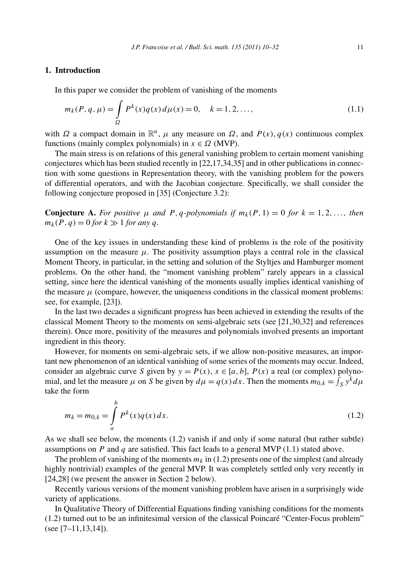# **1. Introduction**

In this paper we consider the problem of vanishing of the moments

$$
m_k(P, q, \mu) = \int_{\Omega} P^k(x) q(x) d\mu(x) = 0, \quad k = 1, 2, ..., \tag{1.1}
$$

with *Ω* a compact domain in  $\mathbb{R}^n$ , *μ* any measure on *Ω*, and *P(x), q(x)* continuous complex functions (mainly complex polynomials) in  $x \in \Omega$  (MVP).

The main stress is on relations of this general vanishing problem to certain moment vanishing conjectures which has been studied recently in [22,17,34,35] and in other publications in connection with some questions in Representation theory, with the vanishing problem for the powers of differential operators, and with the Jacobian conjecture. Specifically, we shall consider the following conjecture proposed in [35] (Conjecture 3.2):

**Conjecture A.** For positive  $\mu$  and  $P$ ,  $q$ -polynomials if  $m_k(P, 1) = 0$  for  $k = 1, 2, \ldots$ , then  $m_k(P, q) = 0$  *for*  $k \gg 1$  *for any q*.

One of the key issues in understanding these kind of problems is the role of the positivity assumption on the measure  $\mu$ . The positivity assumption plays a central role in the classical Moment Theory, in particular, in the setting and solution of the Styltjes and Hamburger moment problems. On the other hand, the "moment vanishing problem" rarely appears in a classical setting, since here the identical vanishing of the moments usually implies identical vanishing of the measure  $\mu$  (compare, however, the uniqueness conditions in the classical moment problems: see, for example, [23]).

In the last two decades a significant progress has been achieved in extending the results of the classical Moment Theory to the moments on semi-algebraic sets (see [21,30,32] and references therein). Once more, positivity of the measures and polynomials involved presents an important ingredient in this theory.

However, for moments on semi-algebraic sets, if we allow non-positive measures, an important new phenomenon of an identical vanishing of some series of the moments may occur. Indeed, consider an algebraic curve *S* given by  $y = P(x)$ ,  $x \in [a, b]$ ,  $P(x)$  a real (or complex) polynomial, and let the measure  $\mu$  on *S* be given by  $d\mu = q(x) dx$ . Then the moments  $m_{0,k} = \int_S y^k d\mu$ take the form

$$
m_k = m_{0,k} = \int_a^b P^k(x) q(x) dx.
$$
 (1.2)

As we shall see below, the moments (1.2) vanish if and only if some natural (but rather subtle) assumptions on *P* and *q* are satisfied. This fact leads to a general MVP (1.1) stated above.

The problem of vanishing of the moments  $m_k$  in (1.2) presents one of the simplest (and already highly nontrivial) examples of the general MVP. It was completely settled only very recently in [24,28] (we present the answer in Section 2 below).

Recently various versions of the moment vanishing problem have arisen in a surprisingly wide variety of applications.

In Qualitative Theory of Differential Equations finding vanishing conditions for the moments (1.2) turned out to be an infinitesimal version of the classical Poincaré "Center-Focus problem" (see  $[7-11,13,14]$ ).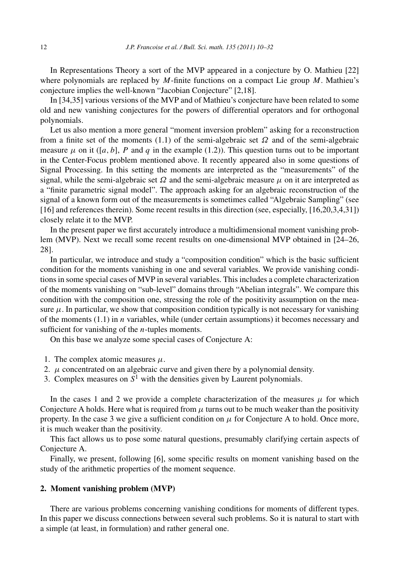In Representations Theory a sort of the MVP appeared in a conjecture by O. Mathieu [22] where polynomials are replaced by *M*-finite functions on a compact Lie group *M*. Mathieu's conjecture implies the well-known "Jacobian Conjecture" [2,18].

In [34,35] various versions of the MVP and of Mathieu's conjecture have been related to some old and new vanishing conjectures for the powers of differential operators and for orthogonal polynomials.

Let us also mention a more general "moment inversion problem" asking for a reconstruction from a finite set of the moments (1.1) of the semi-algebraic set *Ω* and of the semi-algebraic measure  $\mu$  on it ([ $a$ , $b$ ],  $P$  and  $q$  in the example (1.2)). This question turns out to be important in the Center-Focus problem mentioned above. It recently appeared also in some questions of Signal Processing. In this setting the moments are interpreted as the "measurements" of the signal, while the semi-algebraic set  $\Omega$  and the semi-algebraic measure  $\mu$  on it are interpreted as a "finite parametric signal model". The approach asking for an algebraic reconstruction of the signal of a known form out of the measurements is sometimes called "Algebraic Sampling" (see [16] and references therein). Some recent results in this direction (see, especially, [16,20,3,4,31]) closely relate it to the MVP.

In the present paper we first accurately introduce a multidimensional moment vanishing problem (MVP). Next we recall some recent results on one-dimensional MVP obtained in [24–26, 28].

In particular, we introduce and study a "composition condition" which is the basic sufficient condition for the moments vanishing in one and several variables. We provide vanishing conditions in some special cases of MVP in several variables. This includes a complete characterization of the moments vanishing on "sub-level" domains through "Abelian integrals". We compare this condition with the composition one, stressing the role of the positivity assumption on the measure  $\mu$ . In particular, we show that composition condition typically is not necessary for vanishing of the moments (1.1) in *n* variables, while (under certain assumptions) it becomes necessary and sufficient for vanishing of the *n*-tuples moments.

On this base we analyze some special cases of Conjecture A:

- 1. The complex atomic measures  $\mu$ .
- 2.  $\mu$  concentrated on an algebraic curve and given there by a polynomial density.
- 3. Complex measures on  $S^1$  with the densities given by Laurent polynomials.

In the cases 1 and 2 we provide a complete characterization of the measures  $\mu$  for which Conjecture A holds. Here what is required from  $\mu$  turns out to be much weaker than the positivity property. In the case 3 we give a sufficient condition on  $\mu$  for Conjecture A to hold. Once more, it is much weaker than the positivity.

This fact allows us to pose some natural questions, presumably clarifying certain aspects of Conjecture A.

Finally, we present, following [6], some specific results on moment vanishing based on the study of the arithmetic properties of the moment sequence.

## **2. Moment vanishing problem (MVP)**

There are various problems concerning vanishing conditions for moments of different types. In this paper we discuss connections between several such problems. So it is natural to start with a simple (at least, in formulation) and rather general one.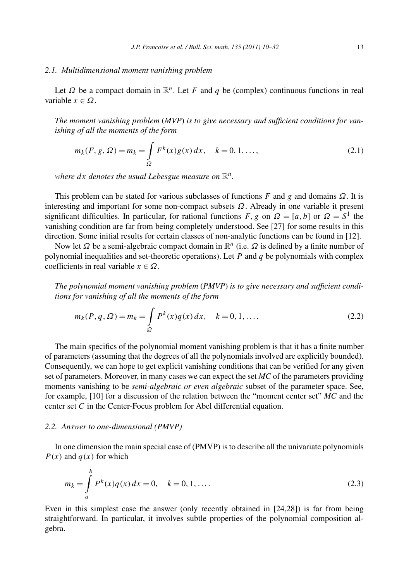#### *2.1. Multidimensional moment vanishing problem*

Let  $\Omega$  be a compact domain in  $\mathbb{R}^n$ . Let *F* and *q* be (complex) continuous functions in real variable *x* ∈ *Ω*.

*The moment vanishing problem* (*MVP*) *is to give necessary and sufficient conditions for vanishing of all the moments of the form*

$$
m_k(F, g, \Omega) = m_k = \int_{\Omega} F^k(x) g(x) dx, \quad k = 0, 1, ..., \qquad (2.1)
$$

*where*  $dx$  *denotes the usual Lebesgue measure on*  $\mathbb{R}^n$ .

This problem can be stated for various subclasses of functions *F* and *g* and domains *Ω*. It is interesting and important for some non-compact subsets *Ω*. Already in one variable it present significant difficulties. In particular, for rational functions *F*, *g* on  $\Omega = [a, b]$  or  $\Omega = S^1$  the vanishing condition are far from being completely understood. See [27] for some results in this direction. Some initial results for certain classes of non-analytic functions can be found in [12].

Now let *Ω* be a semi-algebraic compact domain in R*<sup>n</sup>* (i.e. *Ω* is defined by a finite number of polynomial inequalities and set-theoretic operations). Let *P* and *q* be polynomials with complex coefficients in real variable *x* ∈ *Ω*.

*The polynomial moment vanishing problem* (*PMVP*) *is to give necessary and sufficient conditions for vanishing of all the moments of the form*

$$
m_k(P, q, \Omega) = m_k = \int_{\Omega} P^k(x) q(x) dx, \quad k = 0, 1, ....
$$
 (2.2)

The main specifics of the polynomial moment vanishing problem is that it has a finite number of parameters (assuming that the degrees of all the polynomials involved are explicitly bounded). Consequently, we can hope to get explicit vanishing conditions that can be verified for any given set of parameters. Moreover, in many cases we can expect the set *MC* of the parameters providing moments vanishing to be *semi-algebraic or even algebraic* subset of the parameter space. See, for example, [10] for a discussion of the relation between the "moment center set" *MC* and the center set *C* in the Center-Focus problem for Abel differential equation.

#### *2.2. Answer to one-dimensional (PMVP)*

In one dimension the main special case of (PMVP) is to describe all the univariate polynomials  $P(x)$  and  $q(x)$  for which

$$
m_k = \int_a^b P^k(x)q(x) dx = 0, \quad k = 0, 1, ....
$$
\n(2.3)

Even in this simplest case the answer (only recently obtained in [24,28]) is far from being straightforward. In particular, it involves subtle properties of the polynomial composition algebra.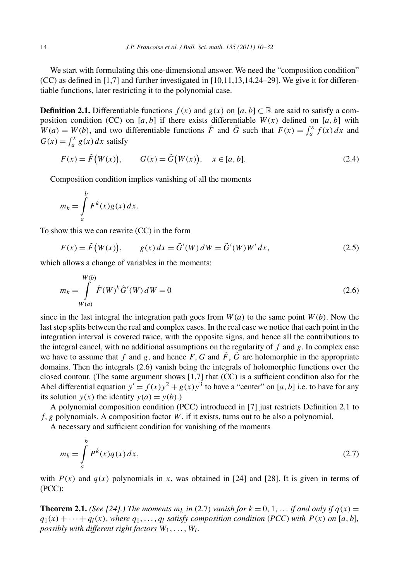We start with formulating this one-dimensional answer. We need the "composition condition"  $(CC)$  as defined in [1,7] and further investigated in [10,11,13,14,24–29]. We give it for differentiable functions, later restricting it to the polynomial case.

**Definition 2.1.** Differentiable functions *f*(*x*) and *g*(*x*) on [*a, b*] ⊂ ℝ are said to satisfy a composition condition (CC) on  $[a, b]$  if there exists differentiable  $W(x)$  defined on  $[a, b]$  with  $W(a) = W(b)$ , and two differentiable functions  $\tilde{F}$  and  $\tilde{G}$  such that  $F(x) = \int_a^x f(x) dx$  and  $G(x) = \int_{a}^{x} g(x) dx$  satisfy

$$
F(x) = \tilde{F}(W(x)), \qquad G(x) = \tilde{G}(W(x)), \quad x \in [a, b].
$$
\n(2.4)

Composition condition implies vanishing of all the moments

$$
m_k = \int_a^b F^k(x)g(x) \, dx.
$$

To show this we can rewrite (CC) in the form

$$
F(x) = \tilde{F}(W(x)), \qquad g(x) dx = \tilde{G}'(W) dW = \tilde{G}'(W)W' dx,
$$
\n(2.5)

which allows a change of variables in the moments:

$$
m_k = \int_{W(a)}^{W(b)} \tilde{F}(W)^k \tilde{G}'(W) dW = 0
$$
\n(2.6)

since in the last integral the integration path goes from  $W(a)$  to the same point  $W(b)$ . Now the last step splits between the real and complex cases. In the real case we notice that each point in the integration interval is covered twice, with the opposite signs, and hence all the contributions to the integral cancel, with no additional assumptions on the regularity of  $f$  and  $g$ . In complex case we have to assume that *f* and *g*, and hence *F*, *G* and  $\tilde{F}$ ,  $\tilde{G}$  are holomorphic in the appropriate domains. Then the integrals (2.6) vanish being the integrals of holomorphic functions over the closed contour. (The same argument shows [1,7] that (CC) is a sufficient condition also for the Abel differential equation  $y' = f(x)y^2 + g(x)y^3$  to have a "center" on [*a*, *b*] i.e. to have for any its solution  $y(x)$  the identity  $y(a) = y(b)$ .)

A polynomial composition condition (PCC) introduced in [7] just restricts Definition 2.1 to *f,g* polynomials. A composition factor *W*, if it exists, turns out to be also a polynomial.

A necessary and sufficient condition for vanishing of the moments

$$
m_k = \int_a^b P^k(x)q(x) dx,
$$
\n(2.7)

with  $P(x)$  and  $q(x)$  polynomials in x, was obtained in [24] and [28]. It is given in terms of (PCC):

**Theorem 2.1.** *(See [24].) The moments*  $m_k$  *in* (2.7) *vanish for*  $k = 0, 1, \ldots$  *if and only if*  $q(x) =$  $q_1(x) + \cdots + q_l(x)$ *, where*  $q_1, \ldots, q_l$  *satisfy composition condition* (*PCC*) *with*  $P(x)$  *on* [*a, b*]*, possibly with different right factors W*1*,...,Wl.*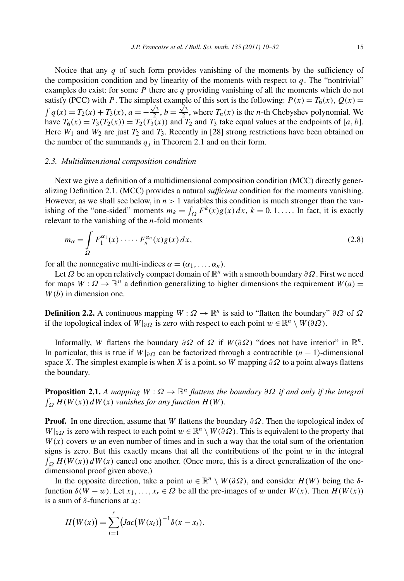Notice that any *q* of such form provides vanishing of the moments by the sufficiency of the composition condition and by linearity of the moments with respect to  $q$ . The "nontrivial" examples do exist: for some *P* there are *q* providing vanishing of all the moments which do not satisfy (PCC) with *P*. The simplest example of this sort is the following:  $P(x) = T_6(x)$ ,  $Q(x) =$  $\int q(x) = T_2(x) + T_3(x)$ ,  $a = -\frac{\sqrt{3}}{2}$ ,  $b = \frac{\sqrt{3}}{2}$ , where  $T_n(x)$  is the *n*-th Chebyshev polynomial. We have  $T_6(x) = T_3(T_2(x)) = T_2(T_3(x))$  and  $T_2$  and  $T_3$  take equal values at the endpoints of [*a, b*]. Here  $W_1$  and  $W_2$  are just  $T_2$  and  $T_3$ . Recently in [28] strong restrictions have been obtained on the number of the summands  $q_i$  in Theorem 2.1 and on their form.

#### *2.3. Multidimensional composition condition*

Next we give a definition of a multidimensional composition condition (MCC) directly generalizing Definition 2.1. (MCC) provides a natural *sufficient* condition for the moments vanishing. However, as we shall see below, in  $n > 1$  variables this condition is much stronger than the vanishing of the "one-sided" moments  $m_k = \int_{\Omega} F^k(x)g(x) dx$ ,  $k = 0, 1, \dots$  In fact, it is exactly relevant to the vanishing of the *n*-fold moments

$$
m_{\alpha} = \int\limits_{\Omega} F_1^{\alpha_1}(x) \cdot \cdots \cdot F_n^{\alpha_n}(x) g(x) dx,
$$
\n(2.8)

for all the nonnegative multi-indices  $\alpha = (\alpha_1, \ldots, \alpha_n)$ .

Let *Ω* be an open relatively compact domain of R*<sup>n</sup>* with a smooth boundary *∂Ω*. First we need for maps  $W: \Omega \to \mathbb{R}^n$  a definition generalizing to higher dimensions the requirement  $W(a)$  = *W(b)* in dimension one.

**Definition 2.2.** A continuous mapping  $W : \Omega \to \mathbb{R}^n$  is said to "flatten the boundary"  $\partial \Omega$  of  $\Omega$ if the topological index of  $W|_{\partial\Omega}$  is zero with respect to each point  $w \in \mathbb{R}^n \setminus W(\partial\Omega)$ .

Informally, *W* flattens the boundary  $\partial \Omega$  of  $\Omega$  if  $W(\partial \Omega)$  "does not have interior" in  $\mathbb{R}^n$ . In particular, this is true if  $W|_{\partial\Omega}$  can be factorized through a contractible  $(n-1)$ -dimensional space *X*. The simplest example is when *X* is a point, so *W* mapping  $\partial \Omega$  to a point always flattens the boundary.

**Proposition 2.1.** *A mapping*  $W: \Omega \to \mathbb{R}^n$  *flattens the boundary*  $\partial \Omega$  *if and only if the integral*  $\int_{\Omega} H(W(x)) dW(x)$  *vanishes for any function*  $H(W)$ *.* 

**Proof.** In one direction, assume that *W* flattens the boundary *∂Ω*. Then the topological index of  $W|_{\partial\Omega}$  is zero with respect to each point  $w \in \mathbb{R}^n \setminus W(\partial\Omega)$ . This is equivalent to the property that  $W(x)$  covers *w* an even number of times and in such a way that the total sum of the orientation signs is zero. But this exactly means that all the contributions of the point  $w$  in the integral  $\int_{\Omega} H(W(x)) dW(x)$  cancel one another. (Once more, this is a direct generalization of the onedimensional proof given above.)

In the opposite direction, take a point  $w \in \mathbb{R}^n \setminus W(\partial \Omega)$ , and consider  $H(W)$  being the  $\delta$ function  $\delta(W - w)$ . Let  $x_1, \ldots, x_r \in \Omega$  be all the pre-images of w under  $W(x)$ . Then  $H(W(x))$ is a sum of *δ*-functions at *xi*:

$$
H(W(x)) = \sum_{i=1}^{r} (Jac(W(x_i)))^{-1} \delta(x - x_i).
$$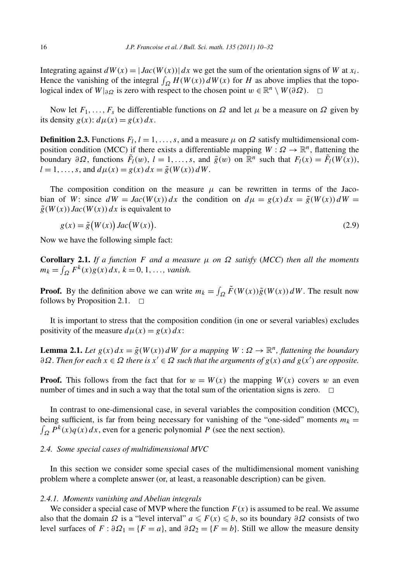Integrating against  $dW(x) = |Jac(W(x))| dx$  we get the sum of the orientation signs of *W* at  $x_i$ . Hence the vanishing of the integral  $\int_{\Omega} H(W(x)) dW(x)$  for *H* as above implies that the topological index of  $W|_{\partial\Omega}$  is zero with respect to the chosen point  $w \in \mathbb{R}^n \setminus W(\partial\Omega)$ .

Now let  $F_1, \ldots, F_s$  be differentiable functions on  $Ω$  and let  $μ$  be a measure on  $Ω$  given by its density  $g(x)$ :  $d\mu(x) = g(x) dx$ .

**Definition 2.3.** Functions  $F_l$ ,  $l = 1, \ldots, s$ , and a measure  $\mu$  on  $\Omega$  satisfy multidimensional composition condition (MCC) if there exists a differentiable mapping  $W : \Omega \to \mathbb{R}^n$ , flattening the boundary  $\partial \Omega$ , functions  $\tilde{F}_l(w)$ ,  $l = 1, ..., s$ , and  $\tilde{g}(w)$  on  $\mathbb{R}^n$  such that  $F_l(x) = \tilde{F}_l(W(x))$ ,  $l = 1, \ldots, s$ , and  $d\mu(x) = g(x) dx = \tilde{g}(W(x)) dW$ .

The composition condition on the measure  $\mu$  can be rewritten in terms of the Jacobian of *W*: since  $dW = Jac(W(x))dx$  the condition on  $d\mu = g(x)dx = \tilde{g}(W(x))dW =$  $\tilde{g}(W(x))$  *Jac* $(W(x))$  *dx* is equivalent to

$$
g(x) = \tilde{g}(W(x)) \operatorname{Jac}(W(x)). \tag{2.9}
$$

Now we have the following simple fact:

**Corollary 2.1.** *If a function*  $F$  *and a measure*  $\mu$  *on*  $\Omega$  *satisfy* (*MCC*) *then all the moments*  $m_k = \int_{\Omega} F^k(x)g(x) dx$ *,*  $k = 0, 1, ...,$  *vanish.* 

**Proof.** By the definition above we can write  $m_k = \int_{\Omega} \tilde{F}(W(x)) \tilde{g}(W(x)) dW$ . The result now follows by Proposition 2.1.  $\Box$ 

It is important to stress that the composition condition (in one or several variables) excludes positivity of the measure  $d\mu(x) = g(x) dx$ :

**Lemma 2.1.** *Let*  $g(x) dx = \tilde{g}(W(x))dW$  *for a mapping*  $W: \Omega \to \mathbb{R}^n$ *, flattening the boundary*  $∂Ω$ *. Then for each*  $x ∈ Ω$  *there is*  $x' ∈ Ω$  *such that the arguments of*  $g(x)$  *and*  $g(x')$  *are opposite.* 

**Proof.** This follows from the fact that for  $w = W(x)$  the mapping  $W(x)$  covers w an even number of times and in such a way that the total sum of the orientation signs is zero.

In contrast to one-dimensional case, in several variables the composition condition (MCC), being sufficient, is far from being necessary for vanishing of the "one-sided" moments  $m_k =$  $\int_{\Omega} P^k(x) q(x) dx$ , even for a generic polynomial *P* (see the next section).

## *2.4. Some special cases of multidimensional MVC*

In this section we consider some special cases of the multidimensional moment vanishing problem where a complete answer (or, at least, a reasonable description) can be given.

#### *2.4.1. Moments vanishing and Abelian integrals*

We consider a special case of MVP where the function  $F(x)$  is assumed to be real. We assume also that the domain  $\Omega$  is a "level interval"  $a \leq F(x) \leq b$ , so its boundary  $\partial \Omega$  consists of two level surfaces of  $F : \partial \Omega_1 = \{F = a\}$ , and  $\partial \Omega_2 = \{F = b\}$ . Still we allow the measure density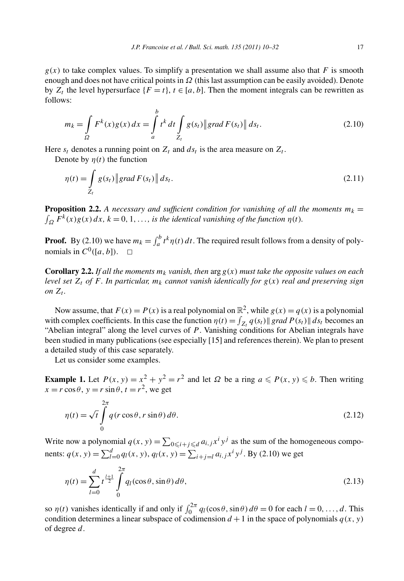$g(x)$  to take complex values. To simplify a presentation we shall assume also that *F* is smooth enough and does not have critical points in *Ω* (this last assumption can be easily avoided). Denote by  $Z_t$  the level hypersurface  $\{F = t\}$ ,  $t \in [a, b]$ . Then the moment integrals can be rewritten as follows:

$$
m_k = \int_{\Omega} F^k(x)g(x) dx = \int_{a}^{b} t^k dt \int_{Z_t} g(s_t) \| grad F(s_t) \| ds_t.
$$
 (2.10)

Here  $s_t$  denotes a running point on  $Z_t$  and  $ds_t$  is the area measure on  $Z_t$ .

Denote by  $n(t)$  the function

$$
\eta(t) = \int_{Z_t} g(s_t) \| grad F(s_t) \| ds_t.
$$
\n(2.11)

**Proposition 2.2.** A necessary and sufficient condition for vanishing of all the moments  $m_k =$  $\int_{\Omega} F^k(x)g(x) dx$ ,  $k = 0, 1, \ldots$ , *is the identical vanishing of the function*  $\eta(t)$ *.* 

**Proof.** By (2.10) we have  $m_k = \int_a^b t^k \eta(t) dt$ . The required result follows from a density of polynomials in  $C^0([a, b])$ .

**Corollary 2.2.** *If all the moments*  $m_k$  *vanish, then*  $\arg g(x)$  *must take the opposite values on each level set*  $Z_t$  *of*  $F$ *. In particular,*  $m_k$  *cannot vanish identically for*  $g(x)$  *real and preserving sign on*  $Z_t$ *.* 

Now assume, that  $F(x) = P(x)$  is a real polynomial on  $\mathbb{R}^2$ , while  $g(x) = g(x)$  is a polynomial with complex coefficients. In this case the function  $\eta(t) = \int_{Z_t} q(s_t) || grad P(s_t) || ds_t$  becomes an "Abelian integral" along the level curves of *P* . Vanishing conditions for Abelian integrals have been studied in many publications (see especially [15] and references therein). We plan to present a detailed study of this case separately.

Let us consider some examples.

**Example 1.** Let  $P(x, y) = x^2 + y^2 = r^2$  and let  $\Omega$  be a ring  $a \le P(x, y) \le b$ . Then writing  $x = r \cos \theta$ ,  $y = r \sin \theta$ ,  $t = r^2$ , we get

$$
\eta(t) = \sqrt{t} \int_{0}^{2\pi} q(r \cos \theta, r \sin \theta) d\theta.
$$
 (2.12)

Write now a polynomial  $q(x, y) = \sum_{0 \leq i + j \leq d} a_{i, j} x^i y^j$  as the sum of the homogeneous components:  $q(x, y) = \sum_{l=0}^{d} q_l(x, y), q_l(x, y) = \sum_{i+j=l} a_{i,j} x^i y^j$ . By (2.10) we get

$$
\eta(t) = \sum_{l=0}^{d} t^{\frac{l+1}{2}} \int_{0}^{2\pi} q_l(\cos\theta, \sin\theta) \, d\theta,\tag{2.13}
$$

so  $\eta(t)$  vanishes identically if and only if  $\int_0^{2\pi} q_l(\cos\theta, \sin\theta) d\theta = 0$  for each  $l = 0, ..., d$ . This condition determines a linear subspace of codimension  $d + 1$  in the space of polynomials  $q(x, y)$ of degree *d*.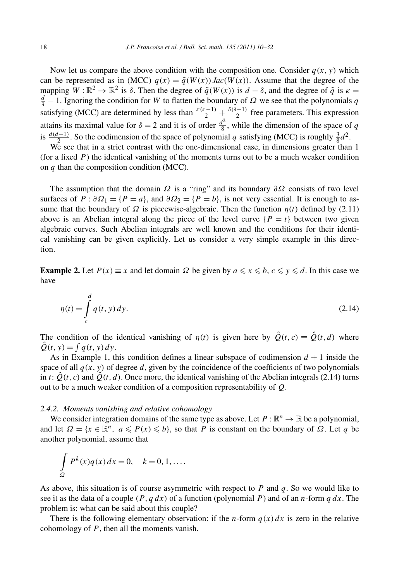Now let us compare the above condition with the composition one. Consider  $q(x, y)$  which can be represented as in (MCC)  $q(x) = \tilde{q}(W(x))$  *Jac* $(W(x))$ . Assume that the degree of the mapping  $W : \mathbb{R}^2 \to \mathbb{R}^2$  is  $\delta$ . Then the degree of  $\tilde{q}(W(x))$  is  $d - \delta$ , and the degree of  $\tilde{q}$  is  $\kappa =$  $\frac{d}{\delta}$  − 1. Ignoring the condition for *W* to flatten the boundary of *Ω* we see that the polynomials *q* satisfying (MCC) are determined by less than  $\frac{k(k-1)}{2} + \frac{\delta(\delta-1)}{2}$  free parameters. This expression attains its maximal value for  $\delta = 2$  and it is of order  $\frac{d^2}{8}$ , while the dimension of the space of *q* is  $\frac{d(d-1)}{2}$ . So the codimension of the space of polynomial *q* satisfying (MCC) is roughly  $\frac{3}{8}d^2$ .

We see that in a strict contrast with the one-dimensional case, in dimensions greater than 1 (for a fixed  $P$ ) the identical vanishing of the moments turns out to be a much weaker condition on *q* than the composition condition (MCC).

The assumption that the domain  $\Omega$  is a "ring" and its boundary  $\partial\Omega$  consists of two level surfaces of  $P : \partial \Omega_1 = \{P = a\}$ , and  $\partial \Omega_2 = \{P = b\}$ , is not very essential. It is enough to assume that the boundary of  $\Omega$  is piecewise-algebraic. Then the function  $\eta(t)$  defined by (2.11) above is an Abelian integral along the piece of the level curve  $\{P = t\}$  between two given algebraic curves. Such Abelian integrals are well known and the conditions for their identical vanishing can be given explicitly. Let us consider a very simple example in this direction.

**Example 2.** Let  $P(x) \equiv x$  and let domain  $\Omega$  be given by  $a \le x \le b$ ,  $c \le y \le d$ . In this case we have

$$
\eta(t) = \int_{c}^{d} q(t, y) dy.
$$
\n(2.14)

The condition of the identical vanishing of  $\eta(t)$  is given here by  $\hat{Q}(t, c) \equiv \hat{Q}(t, d)$  where  $\hat{Q}(t, y) = \int q(t, y) dy.$ 

As in Example 1, this condition defines a linear subspace of codimension  $d + 1$  inside the space of all  $q(x, y)$  of degree d, given by the coincidence of the coefficients of two polynomials in *t*:  $\hat{Q}(t, c)$  and  $\hat{Q}(t, d)$ . Once more, the identical vanishing of the Abelian integrals (2.14) turns out to be a much weaker condition of a composition representability of *Q*.

## *2.4.2. Moments vanishing and relative cohomology*

We consider integration domains of the same type as above. Let  $P : \mathbb{R}^n \to \mathbb{R}$  be a polynomial, and let  $\Omega = \{x \in \mathbb{R}^n, a \leq P(x) \leq b\}$ , so that *P* is constant on the boundary of  $\Omega$ . Let *q* be another polynomial, assume that

$$
\int_{\Omega} P^k(x) q(x) dx = 0, \quad k = 0, 1, \dots
$$

As above, this situation is of course asymmetric with respect to *P* and *q*. So we would like to see it as the data of a couple *(P,q dx)* of a function (polynomial *P* ) and of an *n*-form *qdx*. The problem is: what can be said about this couple?

There is the following elementary observation: if the *n*-form  $q(x) dx$  is zero in the relative cohomology of *P* , then all the moments vanish.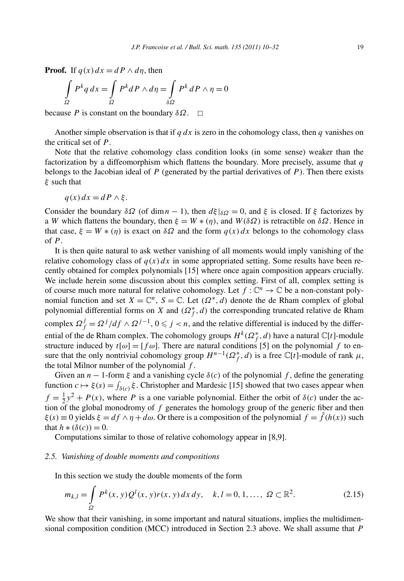**Proof.** If  $q(x) dx = dP \wedge d\eta$ , then

$$
\int_{\Omega} P^{k} q \, dx = \int_{\Omega} P^{k} dP \wedge d\eta = \int_{\delta \Omega} P^{k} dP \wedge \eta = 0
$$

because *P* is constant on the boundary  $\delta \Omega$ .  $\Box$ 

Another simple observation is that if  $q dx$  is zero in the cohomology class, then  $q$  vanishes on the critical set of *P* .

Note that the relative cohomology class condition looks (in some sense) weaker than the factorization by a diffeomorphism which flattens the boundary. More precisely, assume that *q* belongs to the Jacobian ideal of  $P$  (generated by the partial derivatives of  $P$ ). Then there exists *ξ* such that

$$
q(x) dx = dP \wedge \xi.
$$

Consider the boundary *δΩ* (of dim *n* − 1), then  $d\xi|_{\delta\Omega} = 0$ , and  $\xi$  is closed. If  $\xi$  factorizes by a *W* which flattens the boundary, then  $\xi = W * (\eta)$ , and  $W(\delta\Omega)$  is retractible on  $\delta\Omega$ . Hence in that case,  $\xi = W * (n)$  is exact on  $\delta \Omega$  and the form  $q(x) dx$  belongs to the cohomology class of *P* .

It is then quite natural to ask wether vanishing of all moments would imply vanishing of the relative cohomology class of  $q(x)dx$  in some appropriated setting. Some results have been recently obtained for complex polynomials [15] where once again composition appears crucially. We include herein some discussion about this complex setting. First of all, complex setting is of course much more natural for relative cohomology. Let  $f: \mathbb{C}^n \to \mathbb{C}$  be a non-constant polynomial function and set  $X = \mathbb{C}^n$ ,  $S = \mathbb{C}$ . Let  $(\Omega^*, d)$  denote the de Rham complex of global polynomial differential forms on *X* and  $(\Omega_f^*, d)$  the corresponding truncated relative de Rham complex  $\Omega_f^j = \Omega^j / df \wedge \Omega^{j-1}$ ,  $0 \leq j < n$ , and the relative differential is induced by the differential of the de Rham complex. The cohomology groups  $H^k(\Omega_f^*,d)$  have a natural  $\mathbb{C}[t]$ -module structure induced by  $t[\omega] = [f \omega]$ . There are natural conditions [5] on the polynomial f to ensure that the only nontrivial cohomology group  $H^{n-1}(\Omega_f^*, d)$  is a free  $\mathbb{C}[t]$ -module of rank  $\mu$ , the total Milnor number of the polynomial *f* .

Given an  $n - 1$ -form  $\xi$  and a vanishing cycle  $\delta(c)$  of the polynomial f, define the generating function  $c \mapsto \xi(s) = \int_{\delta(c)} \xi$ . Christopher and Mardesic [15] showed that two cases appear when  $f = \frac{1}{2}y^2 + P(x)$ , where *P* is a one variable polynomial. Either the orbit of  $\delta(c)$  under the action of the global monodromy of *f* generates the homology group of the generic fiber and then  $\xi(s) \equiv 0$  yields  $\xi = df \wedge \eta + d\omega$ . Or there is a composition of the polynomial  $f = f(h(x))$  such that  $h * (\delta(c)) = 0$ .

Computations similar to those of relative cohomology appear in [8,9].

#### *2.5. Vanishing of double moments and compositions*

In this section we study the double moments of the form

$$
m_{k,l} = \int_{\Omega} P^k(x, y) Q^l(x, y) r(x, y) dx dy, \quad k, l = 0, 1, ..., \Omega \subset \mathbb{R}^2.
$$
 (2.15)

We show that their vanishing, in some important and natural situations, implies the multidimensional composition condition (MCC) introduced in Section 2.3 above. We shall assume that *P*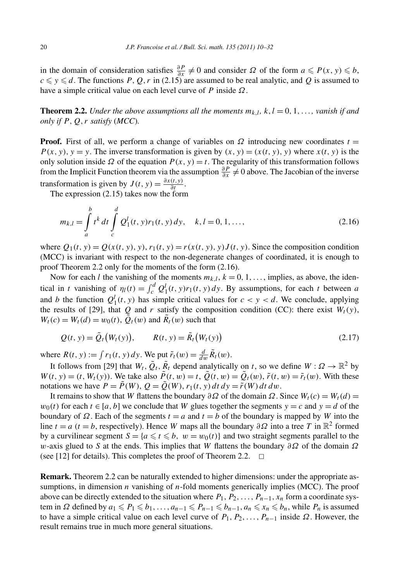in the domain of consideration satisfies  $\frac{\partial P}{\partial x} \neq 0$  and consider  $\Omega$  of the form  $a \leq P(x, y) \leq b$ ,  $c \leq y \leq d$ . The functions *P*, *Q*, *r* in (2.15) are assumed to be real analytic, and *Q* is assumed to have a simple critical value on each level curve of *P* inside *Ω*.

**Theorem 2.2.** *Under the above assumptions all the moments*  $m_{k,l}$ ,  $k, l = 0, 1, \ldots$ , *vanish if and only if*  $P$ *,*  $Q$ *<i>, r satisfy* (*MCC*)*.* 

**Proof.** First of all, we perform a change of variables on  $\Omega$  introducing new coordinates  $t =$  $P(x, y)$ ,  $y = y$ . The inverse transformation is given by  $(x, y) = (x(t, y), y)$  where  $x(t, y)$  is the only solution inside  $\Omega$  of the equation  $P(x, y) = t$ . The regularity of this transformation follows from the Implicit Function theorem via the assumption  $\frac{\partial P}{\partial x} \neq 0$  above. The Jacobian of the inverse transformation is given by  $J(t, y) = \frac{\partial x(t, y)}{\partial t}$ .

The expression (2.15) takes now the form

$$
m_{k,l} = \int_{a}^{b} t^{k} dt \int_{c}^{d} Q_{1}^{l}(t, y)r_{1}(t, y) dy, \quad k, l = 0, 1, ..., \qquad (2.16)
$$

where  $Q_1(t, y) = Q(x(t, y), y)$ ,  $r_1(t, y) = r(x(t, y), y)J(t, y)$ . Since the composition condition (MCC) is invariant with respect to the non-degenerate changes of coordinated, it is enough to proof Theorem 2.2 only for the moments of the form (2.16).

Now for each *l* the vanishing of the moments  $m_{k,l}$ ,  $k = 0, 1, \ldots$ , implies, as above, the idenical in *t* vanishing of  $\eta_l(t) = \int_c^d Q_1^l(t, y) r_1(t, y) dy$ . By assumptions, for each *t* between *a* and *b* the function  $Q_1^l(t, y)$  has simple critical values for  $c < y < d$ . We conclude, applying the results of [29], that *Q* and *r* satisfy the composition condition (CC): there exist  $W_t(y)$ ,  $W_t(c) = W_t(d) = w_0(t), \, \tilde{Q}_t(w)$  and  $\tilde{R}_t(w)$  such that

$$
Q(t, y) = \tilde{Q}_t (W_t(y)), \qquad R(t, y) = \tilde{R}_t (W_t(y))
$$
\n
$$
(2.17)
$$

where  $R(t, y) := \int r_1(t, y) dy$ . We put  $\tilde{r}_t(w) = \frac{d}{dw} \tilde{R}_t(w)$ .

It follows from [29] that  $W_t$ ,  $\tilde{Q}_t$ ,  $\tilde{R}_t$  depend analytically on *t*, so we define  $W: \Omega \to \mathbb{R}^2$  by  $W(t, y) = (t, W_t(y))$ . We take also  $\tilde{P}(t, w) = t$ ,  $\tilde{Q}(t, w) = \tilde{Q}_t(w)$ ,  $\tilde{r}(t, w) = \tilde{r}_t(w)$ . With these notations we have  $P = \tilde{P}(W)$ ,  $Q = \tilde{Q}(W)$ ,  $r_1(t, y) dt dy = \tilde{r}(W) dt dw$ .

It remains to show that *W* flattens the boundary  $\partial \Omega$  of the domain  $\Omega$ . Since  $W_t(c) = W_t(d)$  $w_0(t)$  for each  $t \in [a, b]$  we conclude that *W* glues together the segments  $y = c$  and  $y = d$  of the boundary of  $\Omega$ . Each of the segments  $t = a$  and  $t = b$  of the boundary is mapped by *W* into the line *t* = *a* (*t* = *b*, respectively). Hence *W* maps all the boundary  $\partial \Omega$  into a tree *T* in  $\mathbb{R}^2$  formed by a curvilinear segment  $S = \{a \le t \le b, w = w_0(t)\}$  and two straight segments parallel to the *w*-axis glued to *S* at the ends. This implies that *W* flattens the boundary *∂Ω* of the domain *Ω* (see [12] for details). This completes the proof of Theorem 2.2.  $\Box$ 

**Remark.** Theorem 2.2 can be naturally extended to higher dimensions: under the appropriate assumptions, in dimension *n* vanishing of *n*-fold moments generically implies (MCC). The proof above can be directly extended to the situation where  $P_1, P_2, \ldots, P_{n-1}, x_n$  form a coordinate system in  $\Omega$  defined by  $a_1 \leq P_1 \leq b_1, \ldots, a_{n-1} \leq P_{n-1} \leq b_{n-1}, a_n \leq x_n \leq b_n$ , while  $P_n$  is assumed to have a simple critical value on each level curve of  $P_1, P_2, \ldots, P_{n-1}$  inside  $\Omega$ . However, the result remains true in much more general situations.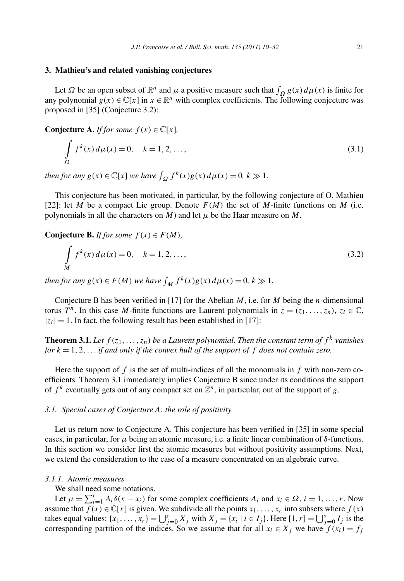#### **3. Mathieu's and related vanishing conjectures**

Let *Ω* be an open subset of  $\mathbb{R}^n$  and *μ* a positive measure such that  $\int_{\Omega} g(x) d\mu(x)$  is finite for any polynomial  $g(x) \in \mathbb{C}[x]$  in  $x \in \mathbb{R}^n$  with complex coefficients. The following conjecture was proposed in [35] (Conjecture 3.2):

**Conjecture A.** *If for some*  $f(x) \in \mathbb{C}[x]$ *,* 

$$
\int_{\Omega} f^{k}(x) d\mu(x) = 0, \quad k = 1, 2, ..., \qquad (3.1)
$$

*then for any*  $g(x) \in \mathbb{C}[x]$  *we have*  $\int_{\Omega} f^k(x)g(x) d\mu(x) = 0$ ,  $k \gg 1$ .

This conjecture has been motivated, in particular, by the following conjecture of O. Mathieu [22]: let *M* be a compact Lie group. Denote  $F(M)$  the set of *M*-finite functions on *M* (i.e. polynomials in all the characters on *M*) and let  $\mu$  be the Haar measure on *M*.

**Conjecture B.** *If for some*  $f(x) \in F(M)$ *,* 

$$
\int_{M} f^{k}(x) d\mu(x) = 0, \quad k = 1, 2, ..., \qquad (3.2)
$$

*then for any*  $g(x) \in F(M)$  *we have*  $\int_M f^k(x)g(x) d\mu(x) = 0, k \gg 1$ *.* 

Conjecture B has been verified in [17] for the Abelian *M*, i.e. for *M* being the *n*-dimensional torus *T<sup>n</sup>*. In this case *M*-finite functions are Laurent polynomials in  $z = (z_1, \ldots, z_n)$ ,  $z_i \in \mathbb{C}$ ,  $|z_i| = 1$ . In fact, the following result has been established in [17]:

**Theorem 3.1.** Let  $f(z_1, \ldots, z_n)$  be a Laurent polynomial. Then the constant term of  $f^k$  vanishes *for k* = 1*,* 2*,... if and only if the convex hull of the support of f does not contain zero.*

Here the support of *f* is the set of multi-indices of all the monomials in *f* with non-zero coefficients. Theorem 3.1 immediately implies Conjecture B since under its conditions the support of  $f^k$  eventually gets out of any compact set on  $\mathbb{Z}^n$ , in particular, out of the support of *g*.

## *3.1. Special cases of Conjecture A: the role of positivity*

Let us return now to Conjecture A. This conjecture has been verified in [35] in some special cases, in particular, for *μ* being an atomic measure, i.e. a finite linear combination of *δ*-functions. In this section we consider first the atomic measures but without positivity assumptions. Next, we extend the consideration to the case of a measure concentrated on an algebraic curve.

# *3.1.1. Atomic measures*

We shall need some notations.

Let  $\mu = \sum_{i=1}^{r} A_i \delta(x - x_i)$  for some complex coefficients  $A_i$  and  $x_i \in \Omega$ ,  $i = 1, ..., r$ . Now assume that  $f(x) \in \mathbb{C}[x]$  is given. We subdivide all the points  $x_1, \ldots, x_r$  into subsets where  $f(x)$ takes equal values:  $\{x_1, ..., x_r\} = \bigcup_{j=0}^s X_j$  with  $X_j = \{x_i \mid i \in I_j\}$ . Here  $[1, r] = \bigcup_{j=0}^s I_j$  is the corresponding partition of the indices. So we assume that for all  $x_i \in X_j$  we have  $f(x_i) = f_j$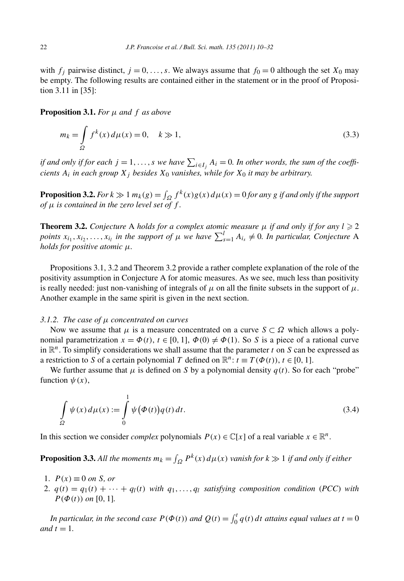with  $f_j$  pairwise distinct,  $j = 0, \ldots, s$ . We always assume that  $f_0 = 0$  although the set  $X_0$  may be empty. The following results are contained either in the statement or in the proof of Proposition 3.11 in [35]:

**Proposition 3.1.** *For μ and f as above*

$$
m_k = \int_{\Omega} f^k(x) d\mu(x) = 0, \quad k \gg 1,
$$
\n(3.3)

*if and only if for each*  $j = 1, ..., s$  *we have*  $\sum_{i \in I_j} A_i = 0$ . In other words, the sum of the coeffi*cients*  $A_i$  *in each group*  $X_j$  *besides*  $X_0$  *vanishes, while for*  $X_0$  *it may be arbitrary.* 

**Proposition 3.2.** *For*  $k \gg 1$  *m<sub>k</sub>*( $g$ ) =  $\int_{\Omega} f^{k}(x)g(x) d\mu(x) = 0$  *for any g if and only if the support of μ is contained in the zero level set of f .*

**Theorem 3.2.** *Conjecture* A *holds for a complex atomic measure*  $\mu$  *if and only if for any*  $l \geq 2$ *points*  $x_{i_1}, x_{i_2}, \ldots, x_{i_l}$  *in the support of*  $\mu$  *we have*  $\sum_{s=1}^{l} A_{i_s} \neq 0$ *. In particular, Conjecture* A *holds for positive atomic μ.*

Propositions 3.1, 3.2 and Theorem 3.2 provide a rather complete explanation of the role of the positivity assumption in Conjecture A for atomic measures. As we see, much less than positivity is really needed: just non-vanishing of integrals of  $\mu$  on all the finite subsets in the support of  $\mu$ . Another example in the same spirit is given in the next section.

#### *3.1.2. The case of μ concentrated on curves*

Now we assume that  $\mu$  is a measure concentrated on a curve  $S \subset \Omega$  which allows a polynomial parametrization  $x = \Phi(t)$ ,  $t \in [0, 1]$ ,  $\Phi(0) \neq \Phi(1)$ . So *S* is a piece of a rational curve in  $\mathbb{R}^n$ . To simplify considerations we shall assume that the parameter *t* on *S* can be expressed as a restriction to *S* of a certain polynomial *T* defined on  $\mathbb{R}^n$ :  $t \equiv T(\Phi(t))$ ,  $t \in [0, 1]$ .

We further assume that  $\mu$  is defined on *S* by a polynomial density  $q(t)$ . So for each "probe" function  $\psi(x)$ ,

$$
\int_{\Omega} \psi(x) d\mu(x) := \int_{0}^{1} \psi(\Phi(t)) q(t) dt.
$$
\n(3.4)

In this section we consider *complex* polynomials  $P(x) \in \mathbb{C}[x]$  of a real variable  $x \in \mathbb{R}^n$ .

**Proposition 3.3.** All the moments  $m_k = \int_{\Omega} P^k(x) d\mu(x)$  vanish for  $k \gg 1$  if and only if either

- 1.  $P(x) \equiv 0$  *on S, or*
- 2.  $q(t) = q_1(t) + \cdots + q_l(t)$  with  $q_1, \ldots, q_l$  satisfying composition condition (PCC) with *P*( $\Phi(t)$ ) *on* [0, 1].

*In particular, in the second case*  $P(\Phi(t))$  *and*  $Q(t) = \int_0^t q(t) dt$  *attains equal values at*  $t = 0$ *and*  $t = 1$ *.*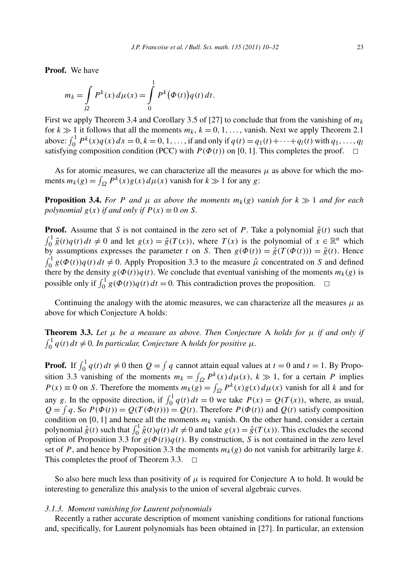**Proof.** We have

$$
m_k = \int_{\Omega} P^k(x) d\mu(x) = \int_{0}^{1} P^k(\Phi(t)) q(t) dt.
$$

First we apply Theorem 3.4 and Corollary 3.5 of [27] to conclude that from the vanishing of  $m_k$ for  $k \gg 1$  it follows that all the moments  $m_k$ ,  $k = 0, 1, \ldots$ , vanish. Next we apply Theorem 2.1 above:  $\int_0^1 P^k(x)q(x) dx = 0, k = 0, 1, \ldots$ , if and only if  $q(t) = q_1(t) + \cdots + q_l(t)$  with  $q_1, \ldots, q_l$ satisfying composition condition (PCC) with  $P(\Phi(t))$  on [0, 1]. This completes the proof.  $\Box$ 

As for atomic measures, we can characterize all the measures  $\mu$  as above for which the moments  $m_k(g) = \int_{\Omega} P^k(x)g(x) d\mu(x)$  vanish for  $k \gg 1$  for any *g*:

**Proposition 3.4.** *For P and*  $\mu$  *as above the moments*  $m_k(g)$  *vanish for*  $k \gg 1$  *and for each polynomial*  $g(x)$  *if and only if*  $P(x) \equiv 0$  *on S.* 

**Proof.** Assume that *S* is not contained in the zero set of *P*. Take a polynomial  $\tilde{g}(t)$  such that  $\int_0^1 \tilde{g}(t)q(t) dt \neq 0$  and let  $g(x) = \tilde{g}(T(x))$ , where  $T(x)$  is the polynomial of  $x \in \mathbb{R}^n$  which by assumptions expresses the parameter *t* on *S*. Then  $g(\Phi(t)) = \tilde{g}(T(\Phi(t))) = \tilde{g}(t)$ . Hence  $\int_0^1 g(\Phi(t))q(t) dt \neq 0$ . Apply Proposition 3.3 to the measure  $\hat{\mu}$  concentrated on *S* and defined there by the density  $g(\Phi(t))q(t)$ . We conclude that eventual vanishing of the moments  $m_k(g)$  is possible only if  $\int_0^1 g(\Phi(t))q(t) dt = 0$ . This contradiction proves the proposition.  $\Box$ 

Continuing the analogy with the atomic measures, we can characterize all the measures  $\mu$  as above for which Conjecture A holds:

**Theorem 3.3.** Let  $\mu$  be a measure as above. Then Conjecture A holds for  $\mu$  if and only if  $\int_0^1 q(t) dt \neq 0$ . In particular, Conjecture A holds for positive  $\mu$ .

**Proof.** If  $\int_0^1 q(t) dt \neq 0$  then  $Q = \int q$  cannot attain equal values at  $t = 0$  and  $t = 1$ . By Proposition 3.3 vanishing of the moments  $m_k = \int_{\Omega} P^k(x) d\mu(x)$ ,  $k \gg 1$ , for a certain *P* implies  $P(x) \equiv 0$  on *S*. Therefore the moments  $m_k(g) = \int_{\Omega} P^k(x)g(x) d\mu(x)$  vanish for all *k* and for any *g*. In the opposite direction, if  $\int_0^1 q(t) dt = 0$  we take  $P(x) = Q(T(x))$ , where, as usual,  $Q = \int q$ . So  $P(\Phi(t)) = Q(T(\Phi(t))) = Q(t)$ . Therefore  $P(\Phi(t))$  and  $Q(t)$  satisfy composition condition on [0, 1] and hence all the moments  $m_k$  vanish. On the other hand, consider a certain polynomial  $\hat{g}(t)$  such that  $\int_0^1 \hat{g}(t)q(t)dt \neq 0$  and take  $g(x) = \hat{g}(T(x))$ . This excludes the second option of Proposition 3.3 for  $g(\Phi(t))q(t)$ . By construction, *S* is not contained in the zero level set of *P*, and hence by Proposition 3.3 the moments  $m_k(g)$  do not vanish for arbitrarily large *k*. This completes the proof of Theorem 3.3.  $\Box$ 

So also here much less than positivity of  $\mu$  is required for Conjecture A to hold. It would be interesting to generalize this analysis to the union of several algebraic curves.

#### *3.1.3. Moment vanishing for Laurent polynomials*

Recently a rather accurate description of moment vanishing conditions for rational functions and, specifically, for Laurent polynomials has been obtained in [27]. In particular, an extension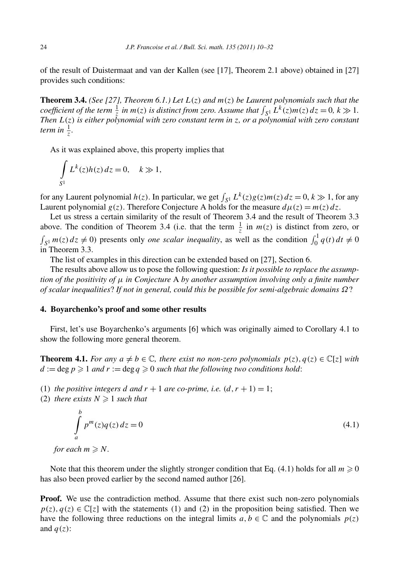of the result of Duistermaat and van der Kallen (see [17], Theorem 2.1 above) obtained in [27] provides such conditions:

**Theorem 3.4.** *(See [27], Theorem 6.1.) Let*  $L(z)$  *and*  $m(z)$  *be Laurent polynomials such that the coefficient of the term*  $\frac{1}{z}$  *in*  $m(z)$  *is distinct from zero. Assume that*  $\int_{S^1} L^k(z) m(z) dz = 0$ ,  $k \gg 1$ . *Then L(z) is either polynomial with zero constant term in z, or a polynomial with zero constant term in*  $\frac{1}{z}$ *.* 

As it was explained above, this property implies that

$$
\int_{S^1} L^k(z)h(z) dz = 0, \quad k \gg 1,
$$

for any Laurent polynomial  $h(z)$ . In particular, we get  $\int_{S^1} L^k(z)g(z)m(z) dz = 0, k \gg 1$ , for any Laurent polynomial  $g(z)$ . Therefore Conjecture A holds for the measure  $d\mu(z) = m(z) dz$ .

Let us stress a certain similarity of the result of Theorem 3.4 and the result of Theorem 3.3 above. The condition of Theorem 3.4 (i.e. that the term  $\frac{1}{z}$  in  $m(z)$  is distinct from zero, or  $\int_{S^1} m(z) dz \neq 0$ ) presents only *one scalar inequality*, as well as the condition  $\int_0^1 q(t) dt \neq 0$ in Theorem 3.3.

The list of examples in this direction can be extended based on [27], Section 6.

The results above allow us to pose the following question: *Is it possible to replace the assumption of the positivity of μ in Conjecture* A *by another assumption involving only a finite number of scalar inequalities*? *If not in general, could this be possible for semi-algebraic domains Ω*?

## **4. Boyarchenko's proof and some other results**

First, let's use Boyarchenko's arguments [6] which was originally aimed to Corollary 4.1 to show the following more general theorem.

**Theorem 4.1.** *For any*  $a \neq b \in \mathbb{C}$ , *there exist no non-zero polynomials*  $p(z)$ ,  $q(z) \in \mathbb{C}[z]$  *with*  $d := \deg p \geq 1$  *and*  $r := \deg q \geq 0$  *such that the following two conditions hold:* 

- (1) *the positive integers d and*  $r + 1$  *are co-prime, i.e.*  $(d, r + 1) = 1$ ;
- (2) *there exists*  $N \geq 1$  *such that*

$$
\int_{a}^{b} p^{m}(z)q(z) dz = 0
$$
\n(4.1)

*for each*  $m \ge N$ *.* 

Note that this theorem under the slightly stronger condition that Eq. (4.1) holds for all  $m \geqslant 0$ has also been proved earlier by the second named author [26].

**Proof.** We use the contradiction method. Assume that there exist such non-zero polynomials  $p(z)$ ,  $q(z) \in \mathbb{C}[z]$  with the statements (1) and (2) in the proposition being satisfied. Then we have the following three reductions on the integral limits  $a, b \in \mathbb{C}$  and the polynomials  $p(z)$ and  $q(z)$ :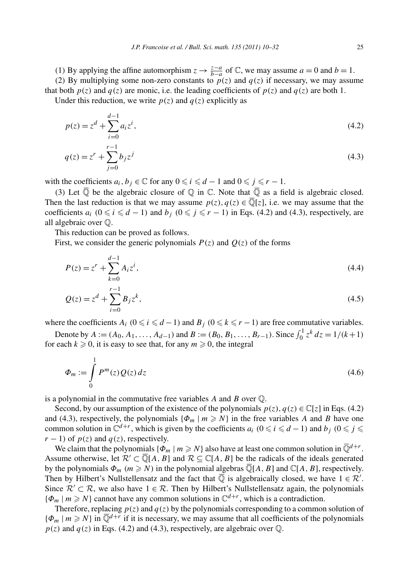*(*1*)* By applying the affine automorphism  $z \rightarrow \frac{z-a}{b-a}$  of ℂ, we may assume  $a = 0$  and  $b = 1$ . (2) By multiplying some non-zero constants to  $p(z)$  and  $q(z)$  if necessary, we may assume that both  $p(z)$  and  $q(z)$  are monic, i.e. the leading coefficients of  $p(z)$  and  $q(z)$  are both 1.

Under this reduction, we write  $p(z)$  and  $q(z)$  explicitly as

$$
p(z) = zd + \sum_{i=0}^{d-1} a_i z^i,
$$
\n(4.2)\n
$$
q(z) = zr + \sum_{i=0}^{r-1} b_i z^i
$$
\n(4.3)

$$
\sum_{j=0}^{q} \frac{c_j z}{j}
$$

with the coefficients  $a_i, b_j \in \mathbb{C}$  for any  $0 \leq i \leq d - 1$  and  $0 \leq j \leq r - 1$ .

(3) Let  $\overline{Q}$  be the algebraic closure of  $Q$  in  $\mathbb C$ . Note that  $\overline{Q}$  as a field is algebraic closed. Then the last reduction is that we may assume  $p(z)$ ,  $q(z) \in \overline{\mathbb{Q}}[z]$ , i.e. we may assume that the coefficients  $a_i$   $(0 \le i \le d - 1)$  and  $b_j$   $(0 \le j \le r - 1)$  in Eqs. (4.2) and (4.3), respectively, are all algebraic over Q.

This reduction can be proved as follows.

First, we consider the generic polynomials  $P(z)$  and  $Q(z)$  of the forms

$$
P(z) = z^{r} + \sum_{k=0}^{d-1} A_{i} z^{i},
$$
\n(4.4)

$$
Q(z) = zd + \sum_{i=0}^{r-1} B_i z^k,
$$
\n(4.5)

where the coefficients  $A_i$  ( $0 \le i \le d-1$ ) and  $B_j$  ( $0 \le k \le r-1$ ) are free commutative variables.

Denote by  $A := (A_0, A_1, \ldots, A_{d-1})$  and  $B := (B_0, B_1, \ldots, B_{r-1})$ . Since  $\int_0^1 z^k dz = 1/(k+1)$ for each  $k \ge 0$ , it is easy to see that, for any  $m \ge 0$ , the integral

$$
\Phi_m := \int\limits_0^1 P^m(z) Q(z) dz \tag{4.6}
$$

is a polynomial in the commutative free variables *A* and *B* over Q.

Second, by our assumption of the existence of the polynomials  $p(z)$ ,  $q(z) \in \mathbb{C}[z]$  in Eqs. (4.2) and (4.3), respectively, the polynomials  $\{\Phi_m \mid m \geq N\}$  in the free variables *A* and *B* have one common solution in  $\mathbb{C}^{d+r}$ , which is given by the coefficients  $a_i$   $(0 \le i \le d-1)$  and  $b_j$   $(0 \le j \le d)$  $r - 1$ ) of  $p(z)$  and  $q(z)$ , respectively.

We claim that the polynomials  $\{\Phi_m \mid m \ge N\}$  also have at least one common solution in  $\overline{\mathbb{Q}}^{d+r}$ . Assume otherwise, let  $\mathcal{R}' \subset \mathbb{Q}[A, B]$  and  $\mathcal{R} \subseteq \mathbb{C}[A, B]$  be the radicals of the ideals generated by the polynomials  $\Phi_m$   $(m \ge N)$  in the polynomial algebras  $\overline{\mathbb{Q}}[A, B]$  and  $\mathbb{C}[A, B]$ , respectively. Then by Hilbert's Nullstellensatz and the fact that  $\overline{Q}$  is algebraically closed, we have  $1 \in \mathcal{R}'$ . Since  $\mathcal{R}' \subset \mathcal{R}$ , we also have  $1 \in \mathcal{R}$ . Then by Hilbert's Nullstellensatz again, the polynomials  ${\varphi_m \mid m \ge N}$  cannot have any common solutions in  $\mathbb{C}^{d+r}$ , which is a contradiction.

Therefore, replacing  $p(z)$  and  $q(z)$  by the polynomials corresponding to a common solution of  ${\varphi_m \mid m \ge N}$  in  $\overline{\mathbb{Q}}^{d+r}$  if it is necessary, we may assume that all coefficients of the polynomials  $p(z)$  and  $q(z)$  in Eqs. (4.2) and (4.3), respectively, are algebraic over  $\mathbb{Q}$ .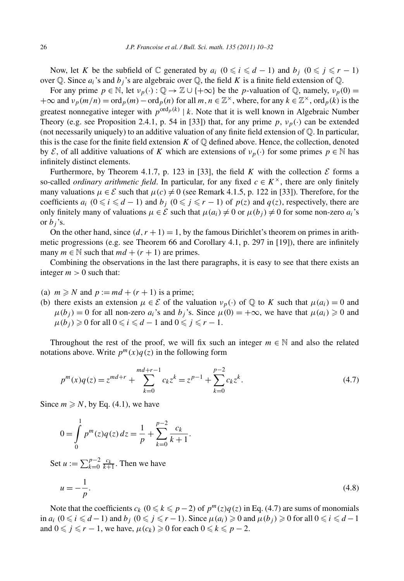Now, let *K* be the subfield of  $\mathbb C$  generated by  $a_i$   $(0 \le i \le d - 1)$  and  $b_j$   $(0 \le j \le r - 1)$ over Q. Since  $a_i$ 's and  $b_j$ 's are algebraic over Q, the field *K* is a finite field extension of Q.

For any prime  $p \in \mathbb{N}$ , let  $v_p(\cdot) : \mathbb{Q} \to \mathbb{Z} \cup \{+\infty\}$  be the *p*-valuation of  $\mathbb{Q}$ , namely,  $v_p(0) =$  $+\infty$  and  $v_p(m/n) = \text{ord}_p(m) - \text{ord}_p(n)$  for all  $m, n \in \mathbb{Z}^\times$ , where, for any  $k \in \mathbb{Z}^\times$ , ord<sub>p</sub>(k) is the greatest nonnegative integer with  $p^{\text{ord}_p(k)} | k$ . Note that it is well known in Algebraic Number Theory (e.g. see Proposition 2.4.1, p. 54 in [33]) that, for any prime  $p, v_p(\cdot)$  can be extended (not necessarily uniquely) to an additive valuation of any finite field extension of  $\mathbb{Q}$ . In particular, this is the case for the finite field extension  $K$  of  $\mathbb Q$  defined above. Hence, the collection, denoted by E, of all additive valuations of K which are extensions of  $v_p(\cdot)$  for some primes  $p \in \mathbb{N}$  has infinitely distinct elements.

Furthermore, by Theorem 4.1.7, p. 123 in [33], the field *K* with the collection  $\mathcal E$  forms a so-called *ordinary arithmetic field*. In particular, for any fixed  $c \in K^{\times}$ , there are only finitely many valuations  $\mu \in \mathcal{E}$  such that  $\mu(c) \neq 0$  (see Remark 4.1.5, p. 122 in [33]). Therefore, for the coefficients  $a_i$  ( $0 \le i \le d - 1$ ) and  $b_j$  ( $0 \le j \le r - 1$ ) of  $p(z)$  and  $q(z)$ , respectively, there are only finitely many of valuations  $\mu \in \mathcal{E}$  such that  $\mu(a_i) \neq 0$  or  $\mu(b_i) \neq 0$  for some non-zero  $a_i$ 's or  $b_j$ 's.

On the other hand, since  $(d, r + 1) = 1$ , by the famous Dirichlet's theorem on primes in arithmetic progressions (e.g. see Theorem 66 and Corollary 4.1, p. 297 in [19]), there are infinitely many  $m \in \mathbb{N}$  such that  $md + (r + 1)$  are primes.

Combining the observations in the last there paragraphs, it is easy to see that there exists an integer  $m > 0$  such that:

- (a)  $m \ge N$  and  $p := md + (r + 1)$  is a prime;
- (b) there exists an extension  $\mu \in \mathcal{E}$  of the valuation  $\nu_p(\cdot)$  of  $\mathbb Q$  to *K* such that  $\mu(a_i) = 0$  and  $\mu(b_i) = 0$  for all non-zero  $a_i$ 's and  $b_i$ 's. Since  $\mu(0) = +\infty$ , we have that  $\mu(a_i) \geq 0$  and  $\mu(b_j) \geq 0$  for all  $0 \leq i \leq d-1$  and  $0 \leq j \leq r-1$ .

Throughout the rest of the proof, we will fix such an integer  $m \in \mathbb{N}$  and also the related notations above. Write  $p^{m}(x)q(z)$  in the following form

$$
p^{m}(x)q(z) = z^{md+r} + \sum_{k=0}^{md+r-1} c_{k}z^{k} = z^{p-1} + \sum_{k=0}^{p-2} c_{k}z^{k}.
$$
\n(4.7)

Since  $m \ge N$ , by Eq. (4.1), we have

$$
0 = \int_{0}^{1} p^{m}(z)q(z) dz = \frac{1}{p} + \sum_{k=0}^{p-2} \frac{c_k}{k+1}.
$$

Set  $u := \sum_{k=0}^{p-2} \frac{c_k}{k+1}$ . Then we have

$$
u = -\frac{1}{p}.\tag{4.8}
$$

Note that the coefficients  $c_k$  ( $0 \le k \le p-2$ ) of  $p^m(z)q(z)$  in Eq. (4.7) are sums of monomials in  $a_i$   $(0 \le i \le d-1)$  and  $b_j$   $(0 \le j \le r-1)$ . Since  $\mu(a_i) \ge 0$  and  $\mu(b_j) \ge 0$  for all  $0 \le i \le d-1$ and  $0 \leq j \leq r - 1$ , we have,  $\mu(c_k) \geq 0$  for each  $0 \leq k \leq p - 2$ .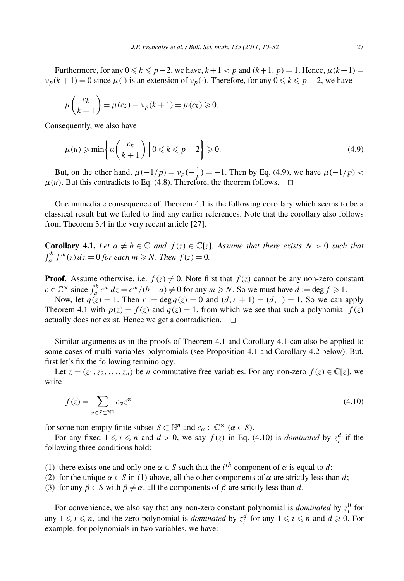Furthermore, for any  $0 \le k \le p-2$ , we have,  $k+1 < p$  and  $(k+1, p) = 1$ . Hence,  $\mu(k+1) =$  $\nu_p(k+1) = 0$  since  $\mu(\cdot)$  is an extension of  $\nu_p(\cdot)$ . Therefore, for any  $0 \le k \le p-2$ , we have

$$
\mu\left(\frac{c_k}{k+1}\right) = \mu(c_k) - \nu_p(k+1) = \mu(c_k) \geq 0.
$$

Consequently, we also have

$$
\mu(u) \ge \min\left\{\mu\left(\frac{c_k}{k+1}\right) \, \middle| \, 0 \le k \le p-2\right\} \ge 0. \tag{4.9}
$$

But, on the other hand,  $\mu(-1/p) = \nu_p(-\frac{1}{p}) = -1$ . Then by Eq. (4.9), we have  $\mu(-1/p)$  $\mu(u)$ . But this contradicts to Eq. (4.8). Therefore, the theorem follows.  $\Box$ 

One immediate consequence of Theorem 4.1 is the following corollary which seems to be a classical result but we failed to find any earlier references. Note that the corollary also follows from Theorem 3*.*4 in the very recent article [27].

**Corollary 4.1.** Let  $a \neq b \in \mathbb{C}$  and  $f(z) \in \mathbb{C}[z]$ . Assume that there exists  $N > 0$  such that  $\int_a^b f^m(z) dz = 0$  *for each*  $m \ge N$ *. Then*  $f(z) = 0$ *.* 

**Proof.** Assume otherwise, i.e.  $f(z) \neq 0$ . Note first that  $f(z)$  cannot be any non-zero constant  $c \in \mathbb{C}^\times$  since  $\int_a^b c^m dz = c^m/(b - a) \neq 0$  for any  $m \geq N$ . So we must have  $d := \deg f \geq 1$ .

Now, let  $q(z) = 1$ . Then  $r := \deg q(z) = 0$  and  $(d, r + 1) = (d, 1) = 1$ . So we can apply Theorem 4.1 with  $p(z) = f(z)$  and  $q(z) = 1$ , from which we see that such a polynomial  $f(z)$ actually does not exist. Hence we get a contradiction.  $\Box$ 

Similar arguments as in the proofs of Theorem 4.1 and Corollary 4.1 can also be applied to some cases of multi-variables polynomials (see Proposition 4.1 and Corollary 4.2 below). But, first let's fix the following terminology.

Let  $z = (z_1, z_2, \ldots, z_n)$  be *n* commutative free variables. For any non-zero  $f(z) \in \mathbb{C}[z]$ , we write

$$
f(z) = \sum_{\alpha \in S \subset \mathbb{N}^n} c_{\alpha} z^{\alpha} \tag{4.10}
$$

for some non-empty finite subset *S*  $\subset \mathbb{N}^n$  and  $c_\alpha \in \mathbb{C}^\times$   $(\alpha \in S)$ .

For any fixed  $1 \leq i \leq n$  and  $d > 0$ , we say  $f(z)$  in Eq. (4.10) is *dominated* by  $z_i^d$  if the following three conditions hold:

- (1) there exists one and only one  $\alpha \in S$  such that the *i*<sup>th</sup> component of  $\alpha$  is equal to *d*;
- (2) for the unique  $\alpha \in S$  in (1) above, all the other components of  $\alpha$  are strictly less than *d*;
- (3) for any  $\beta \in S$  with  $\beta \neq \alpha$ , all the components of  $\beta$  are strictly less than *d*.

For convenience, we also say that any non-zero constant polynomial is *dominated* by  $z_i^0$  for any  $1 \leq i \leq n$ , and the zero polynomial is *dominated* by  $z_i^d$  for any  $1 \leq i \leq n$  and  $d \geq 0$ . For example, for polynomials in two variables, we have: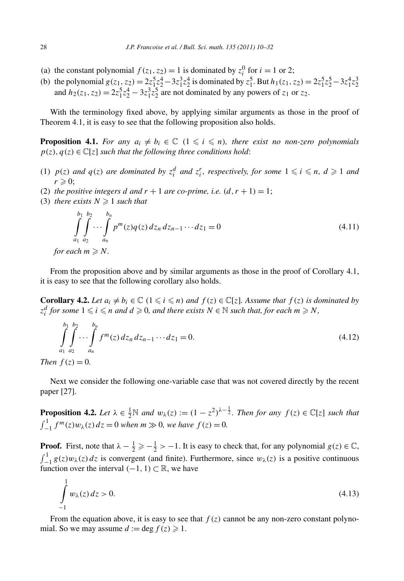- (a) the constant polynomial  $f(z_1, z_2) = 1$  is dominated by  $z_i^0$  for  $i = 1$  or 2;
- (b) the polynomial  $g(z_1, z_2) = 2z_1^5z_2^4 3z_1^3z_2^4$  is dominated by  $z_1^5$ . But  $h_1(z_1, z_2) = 2z_1^5z_2^5 3z_1^4z_2^3$ and  $h_2(z_1, z_2) = 2z_1^5z_2^4 - 3z_1^3z_2^5$  are not dominated by any powers of  $z_1$  or  $z_2$ .

With the terminology fixed above, by applying similar arguments as those in the proof of Theorem 4.1, it is easy to see that the following proposition also holds.

**Proposition 4.1.** For any  $a_i \neq b_i \in \mathbb{C}$   $(1 \leq i \leq n)$ , there exist no non-zero polynomials  $p(z)$ ,  $q(z) \in \mathbb{C}[z]$  *such that the following three conditions hold*:

- (1)  $p(z)$  and  $q(z)$  are dominated by  $z_i^d$  and  $z_i^r$ , respectively, for some  $1 \leq i \leq n$ ,  $d \geq 1$  and  $r \geqslant 0$ ;
- (2) *the positive integers d and*  $r + 1$  *are co-prime, i.e.*  $(d, r + 1) = 1$ ;
- (3) *there exists*  $N \geq 1$  *such that*

$$
\int_{a_1}^{b_1} \int_{a_2}^{b_2} \cdots \int_{a_n}^{b_n} p^m(z) q(z) dz_n dz_{n-1} \cdots dz_1 = 0 \tag{4.11}
$$

*for each*  $m \ge N$ *.* 

From the proposition above and by similar arguments as those in the proof of Corollary 4.1, it is easy to see that the following corollary also holds.

**Corollary 4.2.** *Let*  $a_i \neq b_i \in \mathbb{C}$  ( $1 \leq i \leq n$ ) and  $f(z) \in \mathbb{C}[z]$ . Assume that  $f(z)$  is dominated by  $z_i^d$  *for some*  $1 \leq i \leq n$  *and*  $d \geq 0$ *, and there exists*  $N \in \mathbb{N}$  *such that, for each*  $m \geq N$ *,* 

$$
\int_{a_1}^{b_1} \int_{a_2}^{b_2} \cdots \int_{a_n}^{b_n} f^m(z) \, dz_n \, dz_{n-1} \cdots dz_1 = 0. \tag{4.12}
$$

*Then*  $f(z) = 0$ *.* 

Next we consider the following one-variable case that was not covered directly by the recent paper [27].

**Proposition 4.2.** Let  $\lambda \in \frac{1}{2} \mathbb{N}$  and  $w_{\lambda}(z) := (1 - z^2)^{\lambda - \frac{1}{2}}$ . Then for any  $f(z) \in \mathbb{C}[z]$  such that  $\int_{-1}^{1} f^{m}(z) w_{\lambda}(z) dz = 0$  *when*  $m \gg 0$ *, we have*  $f(z) = 0$ *.* 

**Proof.** First, note that  $\lambda - \frac{1}{2} \ge -\frac{1}{2} > -1$ . It is easy to check that, for any polynomial *g*(*z*)  $\in \mathbb{C}$ ,  $\int_{-1}^{1} g(z)w_{\lambda}(z) dz$  is convergent (and finite). Furthermore, since  $w_{\lambda}(z)$  is a positive continuous function over the interval  $(-1, 1)$  ⊂ R, we have

$$
\int_{-1}^{1} w_{\lambda}(z) dz > 0.
$$
\n(4.13)

From the equation above, it is easy to see that  $f(z)$  cannot be any non-zero constant polynomial. So we may assume  $d := \deg f(z) \geq 1$ .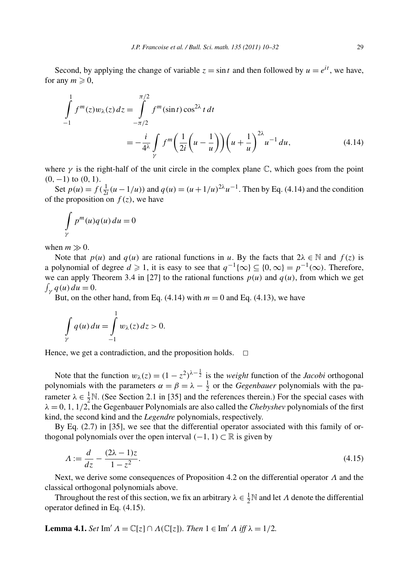Second, by applying the change of variable  $z = \sin t$  and then followed by  $u = e^{it}$ , we have, for any  $m \geqslant 0$ ,

$$
\int_{-1}^{1} f^{m}(z)w_{\lambda}(z) dz = \int_{-\pi/2}^{\pi/2} f^{m}(\sin t) \cos^{2\lambda} t dt
$$
  
=  $-\frac{i}{4^{\lambda}} \int_{\gamma} f^{m} \left(\frac{1}{2i} \left(u - \frac{1}{u}\right)\right) \left(u + \frac{1}{u}\right)^{2\lambda} u^{-1} du,$  (4.14)

where  $\gamma$  is the right-half of the unit circle in the complex plane  $\mathbb{C}$ , which goes from the point *(*0*,*−1*)* to *(*0*,* 1*)*.

Set  $p(u) = f(\frac{1}{2i}(u - 1/u))$  and  $q(u) = (u + 1/u)^{2\lambda}u^{-1}$ . Then by Eq. (4.14) and the condition of the proposition on  $f(z)$ , we have

$$
\int\limits_{\gamma} p^m(u)q(u) \, du = 0
$$

when  $m \gg 0$ .

Note that  $p(u)$  and  $q(u)$  are rational functions in *u*. By the facts that  $2\lambda \in \mathbb{N}$  and  $f(z)$  is a polynomial of degree  $d \ge 1$ , it is easy to see that  $q^{-1}\{\infty\} \subseteq \{0,\infty\} = p^{-1}(\infty)$ . Therefore, we can apply Theorem 3.4 in [27] to the rational functions  $p(u)$  and  $q(u)$ , from which we get  $\int_{\gamma} q(u) du = 0.$ 

But, on the other hand, from Eq.  $(4.14)$  with  $m = 0$  and Eq.  $(4.13)$ , we have

$$
\int\limits_{\gamma} q(u) \, du = \int\limits_{-1}^{1} w_{\lambda}(z) \, dz > 0.
$$

Hence, we get a contradiction, and the proposition holds.  $\Box$ 

Note that the function  $w_{\lambda}(z) = (1 - z^2)^{\lambda - \frac{1}{2}}$  is the *weight* function of the *Jacobi* orthogonal polynomials with the parameters  $\alpha = \beta = \lambda - \frac{1}{2}$  or the *Gegenbauer* polynomials with the parameter  $\lambda \in \frac{1}{2}N$ . (See Section 2.1 in [35] and the references therein.) For the special cases with  $\lambda = 0, 1, 1/2$ , the Gegenbauer Polynomials are also called the *Chebyshev* polynomials of the first kind, the second kind and the *Legendre* polynomials, respectively.

By Eq. (2.7) in [35], we see that the differential operator associated with this family of orthogonal polynomials over the open interval  $(-1, 1)$  ⊂ R is given by

$$
\Lambda := \frac{d}{dz} - \frac{(2\lambda - 1)z}{1 - z^2}.
$$
\n(4.15)

Next, we derive some consequences of Proposition 4.2 on the differential operator *Λ* and the classical orthogonal polynomials above.

Throughout the rest of this section, we fix an arbitrary  $\lambda \in \frac{1}{2}N$  and let  $\Lambda$  denote the differential operator defined in Eq. (4.15).

**Lemma 4.1.** *Set* Im'  $\Lambda = \mathbb{C}[z] \cap \Lambda(\mathbb{C}[z])$ *. Then*  $1 \in \text{Im}' \Lambda$  *iff*  $\lambda = 1/2$ *.*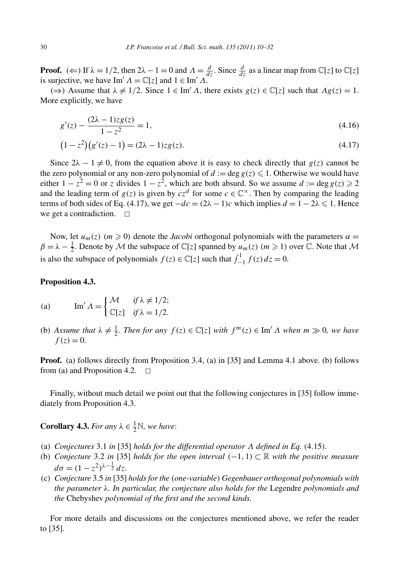**Proof.** ( $\Leftarrow$ ) If  $\lambda = 1/2$ , then  $2\lambda - 1 = 0$  and  $\Lambda = \frac{d}{dz}$ . Since  $\frac{d}{dz}$  as a linear map from  $\mathbb{C}[z]$  to  $\mathbb{C}[z]$ is surjective, we have Im'  $\Lambda = \mathbb{C}[z]$  and  $1 \in \text{Im}' \Lambda$ .

 $(\Rightarrow)$  Assume that  $\lambda \neq 1/2$ . Since  $1 \in \text{Im}' \Lambda$ , there exists  $g(z) \in \mathbb{C}[z]$  such that  $\Lambda g(z) = 1$ . More explicitly, we have

$$
g'(z) - \frac{(2\lambda - 1)z g(z)}{1 - z^2} = 1,
$$
\n(4.16)

$$
(1 - z2)(g'(z) - 1) = (2\lambda - 1)zg(z).
$$
\n(4.17)

Since  $2\lambda - 1 \neq 0$ , from the equation above it is easy to check directly that *g(z)* cannot be the zero polynomial or any non-zero polynomial of  $d := \deg g(z) \leq 1$ . Otherwise we would have either  $1 - z^2 = 0$  or *z* divides  $1 - z^2$ , which are both absurd. So we assume  $d := \deg g(z) \ge 2$ and the leading term of  $g(z)$  is given by  $cz^d$  for some  $c \in \mathbb{C}^\times$ . Then by comparing the leading terms of both sides of Eq. (4.17), we get  $-dc = (2\lambda - 1)c$  which implies  $d = 1 - 2\lambda \leq 1$ . Hence we get a contradiction.  $\square$ 

Now, let  $u_m(z)$  ( $m \ge 0$ ) denote the *Jacobi* orthogonal polynomials with the parameters  $\alpha =$  $\beta = \lambda - \frac{1}{2}$ . Denote by M the subspace of  $\mathbb{C}[z]$  spanned by  $u_m(z)$  ( $m \ge 1$ ) over  $\mathbb{C}$ . Note that M is also the subspace of polynomials  $f(z) \in \mathbb{C}[z]$  such that  $\int_{-1}^{1} f(z) dz = 0$ .

## **Proposition 4.3.**

(a) 
$$
\operatorname{Im}' A = \begin{cases} \mathcal{M} & \text{if } \lambda \neq 1/2; \\ \mathbb{C}[z] & \text{if } \lambda = 1/2. \end{cases}
$$

(b) *Assume that*  $\lambda \neq \frac{1}{2}$ *. Then for any*  $f(z) \in \mathbb{C}[z]$  *with*  $f^m(z) \in \text{Im}' \Lambda$  *when*  $m \gg 0$ *, we have*  $f(z) = 0.$ 

**Proof.** (a) follows directly from Proposition 3*.*4, (a) in [35] and Lemma 4.1 above. (b) follows from (a) and Proposition 4.2.  $\Box$ 

Finally, without much detail we point out that the following conjectures in [35] follow immediately from Proposition 4.3.

**Corollary 4.3.** *For any*  $\lambda \in \frac{1}{2} \mathbb{N}$ *, we have:* 

- (a) *Conjectures* 3*.*1 *in* [35] *holds for the differential operator Λ defined in Eq. (*4*.*15*).*
- (b) *Conjecture* 3*.*2 *in* [35] *holds for the open interval (*−1*,* 1*)* ⊂ R *with the positive measure*  $d\sigma = (1 - z^2)^{\lambda - \frac{1}{2}} dz.$
- (c) *Conjecture* 3*.*5 *in* [35] *holds for the (one-variable) Gegenbauer orthogonal polynomials with the parameter λ. In particular, the conjecture also holds for the* Legendre *polynomials and the* Chebyshev *polynomial of the first and the second kinds.*

For more details and discussions on the conjectures mentioned above, we refer the reader to [35].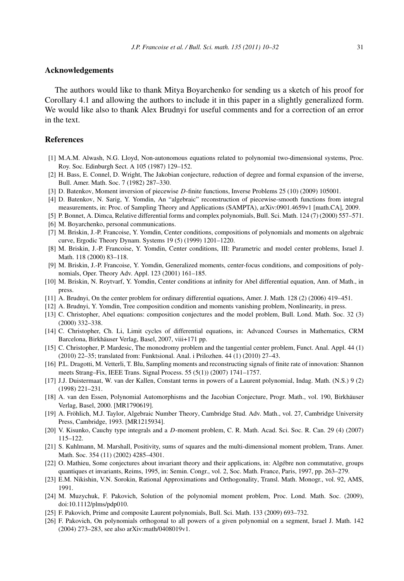#### **Acknowledgements**

The authors would like to thank Mitya Boyarchenko for sending us a sketch of his proof for Corollary 4.1 and allowing the authors to include it in this paper in a slightly generalized form. We would like also to thank Alex Brudnyi for useful comments and for a correction of an error in the text.

# **References**

- [1] M.A.M. Alwash, N.G. Lloyd, Non-autonomous equations related to polynomial two-dimensional systems, Proc. Roy. Soc. Edinburgh Sect. A 105 (1987) 129–152.
- [2] H. Bass, E. Connel, D. Wright, The Jakobian conjecture, reduction of degree and formal expansion of the inverse, Bull. Amer. Math. Soc. 7 (1982) 287–330.
- [3] D. Batenkov, Moment inversion of piecewise *D*-finite functions, Inverse Problems 25 (10) (2009) 105001.
- [4] D. Batenkov, N. Sarig, Y. Yomdin, An "algebraic" reconstruction of piecewise-smooth functions from integral measurements, in: Proc. of Sampling Theory and Applications (SAMPTA), arXiv:0901.4659v1 [math.CA], 2009.
- [5] P. Bonnet, A. Dimca, Relative differential forms and complex polynomials, Bull. Sci. Math. 124 (7) (2000) 557–571.
- [6] M. Boyarchenko, personal communications.
- [7] M. Briskin, J.-P. Francoise, Y. Yomdin, Center conditions, compositions of polynomials and moments on algebraic curve, Ergodic Theory Dynam. Systems 19 (5) (1999) 1201–1220.
- [8] M. Briskin, J.-P. Francoise, Y. Yomdin, Center conditions, III: Parametric and model center problems, Israel J. Math. 118 (2000) 83–118.
- [9] M. Briskin, J.-P. Francoise, Y. Yomdin, Generalized moments, center-focus conditions, and compositions of polynomials, Oper. Theory Adv. Appl. 123 (2001) 161–185.
- [10] M. Briskin, N. Roytvarf, Y. Yomdin, Center conditions at infinity for Abel differential equation, Ann. of Math., in press.
- [11] A. Brudnyi, On the center problem for ordinary differential equations, Amer. J. Math. 128 (2) (2006) 419–451.
- [12] A. Brudnyi, Y. Yomdin, Tree composition condition and moments vanishing problem, Nonlinearity, in press.
- [13] C. Christopher, Abel equations: composition conjectures and the model problem, Bull. Lond. Math. Soc. 32 (3) (2000) 332–338.
- [14] C. Christopher, Ch. Li, Limit cycles of differential equations, in: Advanced Courses in Mathematics, CRM Barcelona, Birkhäuser Verlag, Basel, 2007, viii+171 pp.
- [15] C. Christopher, P. Mardesic, The monodromy problem and the tangential center problem, Funct. Anal. Appl. 44 (1) (2010) 22–35; translated from: Funktsional. Anal. i Prilozhen. 44 (1) (2010) 27–43.
- [16] P.L. Dragotti, M. Vetterli, T. Blu, Sampling moments and reconstructing signals of finite rate of innovation: Shannon meets Strang–Fix, IEEE Trans. Signal Process. 55 (5(1)) (2007) 1741–1757.
- [17] J.J. Duistermaat, W. van der Kallen, Constant terms in powers of a Laurent polynomial, Indag. Math. (N.S.) 9 (2) (1998) 221–231.
- [18] A. van den Essen, Polynomial Automorphisms and the Jacobian Conjecture, Progr. Math., vol. 190, Birkhäuser Verlag, Basel, 2000. [MR1790619].
- [19] A. Fröhlich, M.J. Taylor, Algebraic Number Theory, Cambridge Stud. Adv. Math., vol. 27, Cambridge University Press, Cambridge, 1993. [MR1215934].
- [20] V. Kisunko, Cauchy type integrals and a *D*-moment problem, C. R. Math. Acad. Sci. Soc. R. Can. 29 (4) (2007) 115–122.
- [21] S. Kuhlmann, M. Marshall, Positivity, sums of squares and the multi-dimensional moment problem, Trans. Amer. Math. Soc. 354 (11) (2002) 4285–4301.
- [22] O. Mathieu, Some conjectures about invariant theory and their applications, in: Algébre non commutative, groups quantiques et invariants, Reims, 1995, in: Semin. Congr., vol. 2, Soc. Math. France, Paris, 1997, pp. 263–279.
- [23] E.M. Nikishin, V.N. Sorokin, Rational Approximations and Orthogonality, Transl. Math. Monogr., vol. 92, AMS, 1991.
- [24] M. Muzychuk, F. Pakovich, Solution of the polynomial moment problem, Proc. Lond. Math. Soc. (2009), doi:10.1112/plms/pdp010.
- [25] F. Pakovich, Prime and composite Laurent polynomials, Bull. Sci. Math. 133 (2009) 693–732.
- [26] F. Pakovich, On polynomials orthogonal to all powers of a given polynomial on a segment, Israel J. Math. 142 (2004) 273–283, see also arXiv:math/0408019v1.